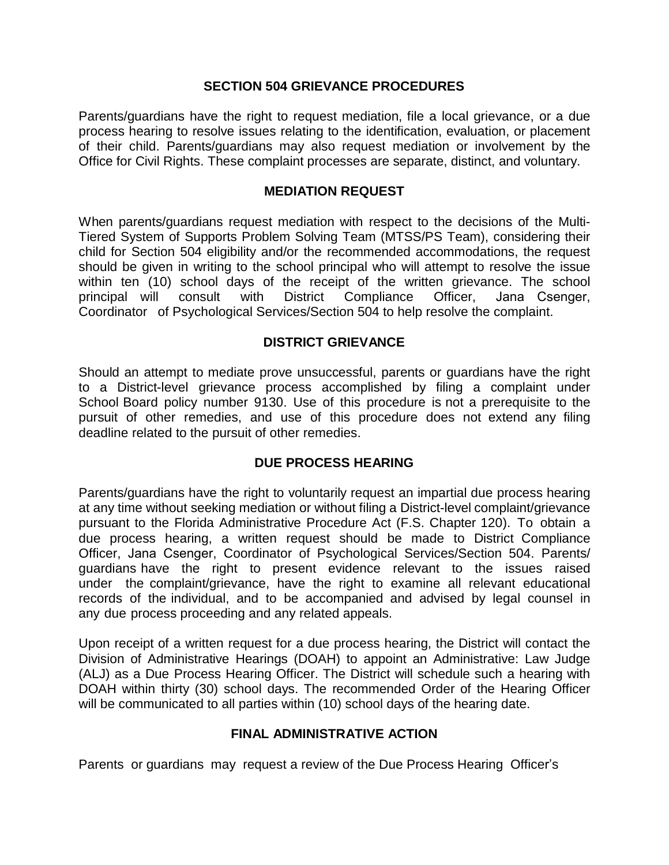#### **SECTION 504 GRIEVANCE PROCEDURES**

Parents/guardians have the right to request mediation, file a local grievance, or a due process hearing to resolve issues relating to the identification, evaluation, or placement of their child. Parents/guardians may also request mediation or involvement by the Office for Civil Rights. These complaint processes are separate, distinct, and voluntary.

#### **MEDIATION REQUEST**

When parents/guardians request mediation with respect to the decisions of the Multi-Tiered System of Supports Problem Solving Team (MTSS/PS Team), considering their child for Section 504 eligibility and/or the recommended accommodations, the request should be given in writing to the school principal who will attempt to resolve the issue within ten (10) school days of the receipt of the written grievance. The school principal will consult with District Compliance Officer, Jana Csenger, Coordinator of Psychological Services/Section 504 to help resolve the complaint.

#### **DISTRICT GRIEVANCE**

Should an attempt to mediate prove unsuccessful, parents or guardians have the right to a District-level grievance process accomplished by filing a complaint under School Board policy number 9130. Use of this procedure is not a prerequisite to the pursuit of other remedies, and use of this procedure does not extend any filing deadline related to the pursuit of other remedies.

## **DUE PROCESS HEARING**

Parents/guardians have the right to voluntarily request an impartial due process hearing at any time without seeking mediation or without filing a District-level complaint/grievance pursuant to the Florida Administrative Procedure Act (F.S. Chapter 120). To obtain a due process hearing, a written request should be made to District Compliance Officer, Jana Csenger, Coordinator of Psychological Services/Section 504. Parents/ guardians have the right to present evidence relevant to the issues raised under the complaint/grievance, have the right to examine all relevant educational records of the individual, and to be accompanied and advised by legal counsel in any due process proceeding and any related appeals.

Upon receipt of a written request for a due process hearing, the District will contact the Division of Administrative Hearings (DOAH) to appoint an Administrative: Law Judge (ALJ) as a Due Process Hearing Officer. The District will schedule such a hearing with DOAH within thirty (30) school days. The recommended Order of the Hearing Officer will be communicated to all parties within (10) school days of the hearing date.

## **FINAL ADMINISTRATIVE ACTION**

Parents or guardians may request a review of the Due Process Hearing Officer's